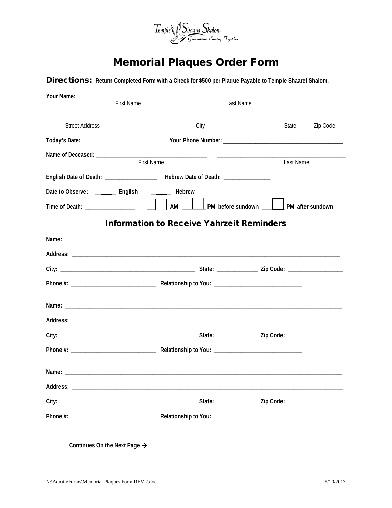

## **Memorial Plaques Order Form**

Directions: Return Completed Form with a Check for \$500 per Plaque Payable to Temple Shaarei Shalom.

| Your Name: ___________________                                                   |                                                  |                                     |
|----------------------------------------------------------------------------------|--------------------------------------------------|-------------------------------------|
| <b>First Name</b>                                                                |                                                  | Last Name                           |
| <b>Street Address</b>                                                            | City                                             | Zip Code<br>State                   |
|                                                                                  |                                                  |                                     |
| Name of Deceased: _____________                                                  | <b>First Name</b>                                | Last Name                           |
| English Date of Death: ____________________ Hebrew Date of Death: ______________ |                                                  |                                     |
| $\Box$ English<br>Date to Observe:                                               | $\begin{bmatrix} 1 & 1 \end{bmatrix}$ Hebrew     |                                     |
| Time of Death: _________________                                                 | AM                                               | Notice Sundown Allen Marker sundown |
|                                                                                  | <b>Information to Receive Yahrzeit Reminders</b> |                                     |
|                                                                                  |                                                  |                                     |
|                                                                                  |                                                  |                                     |
|                                                                                  |                                                  |                                     |
|                                                                                  |                                                  |                                     |
|                                                                                  |                                                  |                                     |
|                                                                                  |                                                  |                                     |
|                                                                                  |                                                  |                                     |
|                                                                                  |                                                  |                                     |
|                                                                                  |                                                  |                                     |
|                                                                                  |                                                  |                                     |
|                                                                                  |                                                  |                                     |
|                                                                                  |                                                  |                                     |
|                                                                                  |                                                  |                                     |

Continues On the Next Page  $\rightarrow$